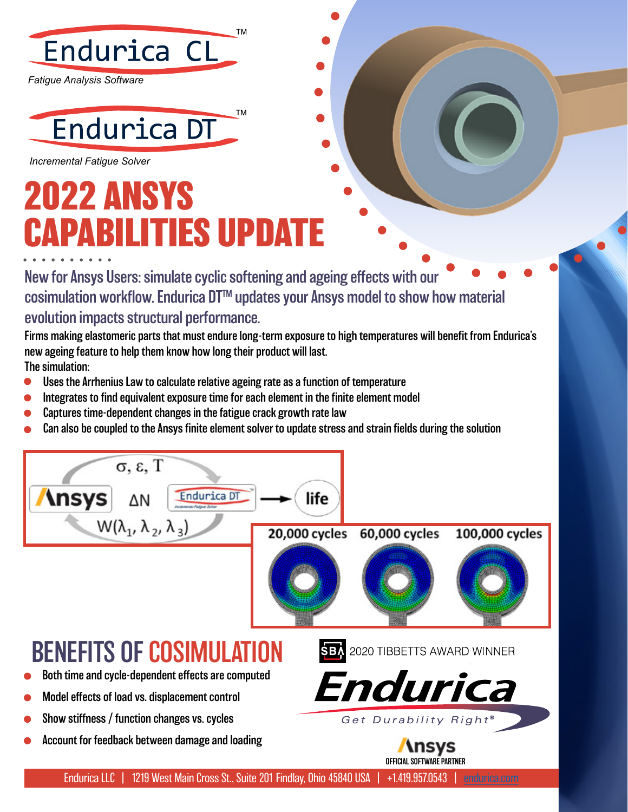

*Fatigue Analysis Software*



*Incremental Fatigue Solver*

## **2022 ANSYS CAPABILITIES UPDATE**

New for Ansys Users: simulate cyclic softening and ageing effects with our cosimulation workflow. Endurica DT<sup>™</sup> updates your Ansys model to show how material evolution impacts structural performance.

Firms making elastomeric parts that must endure long-term exposure to high temperatures will benefit from Endurica's new ageing feature to help them know how long their product will last. The simulation:

- Uses the Arrhenius Law to calculate relative ageing rate as a function of temperature
- Integrates to find equivalent exposure time for each element in the finite element model
- Captures time-dependent changes in the fatigue crack growth rate law
- Can also be coupled to the Ansys finite element solver to update stress and strain fields during the solution



Endurica LLC | 1219 West Main Cross St., Suite 201 Findlay, Ohio 45840 USA | +1.419.957.0543